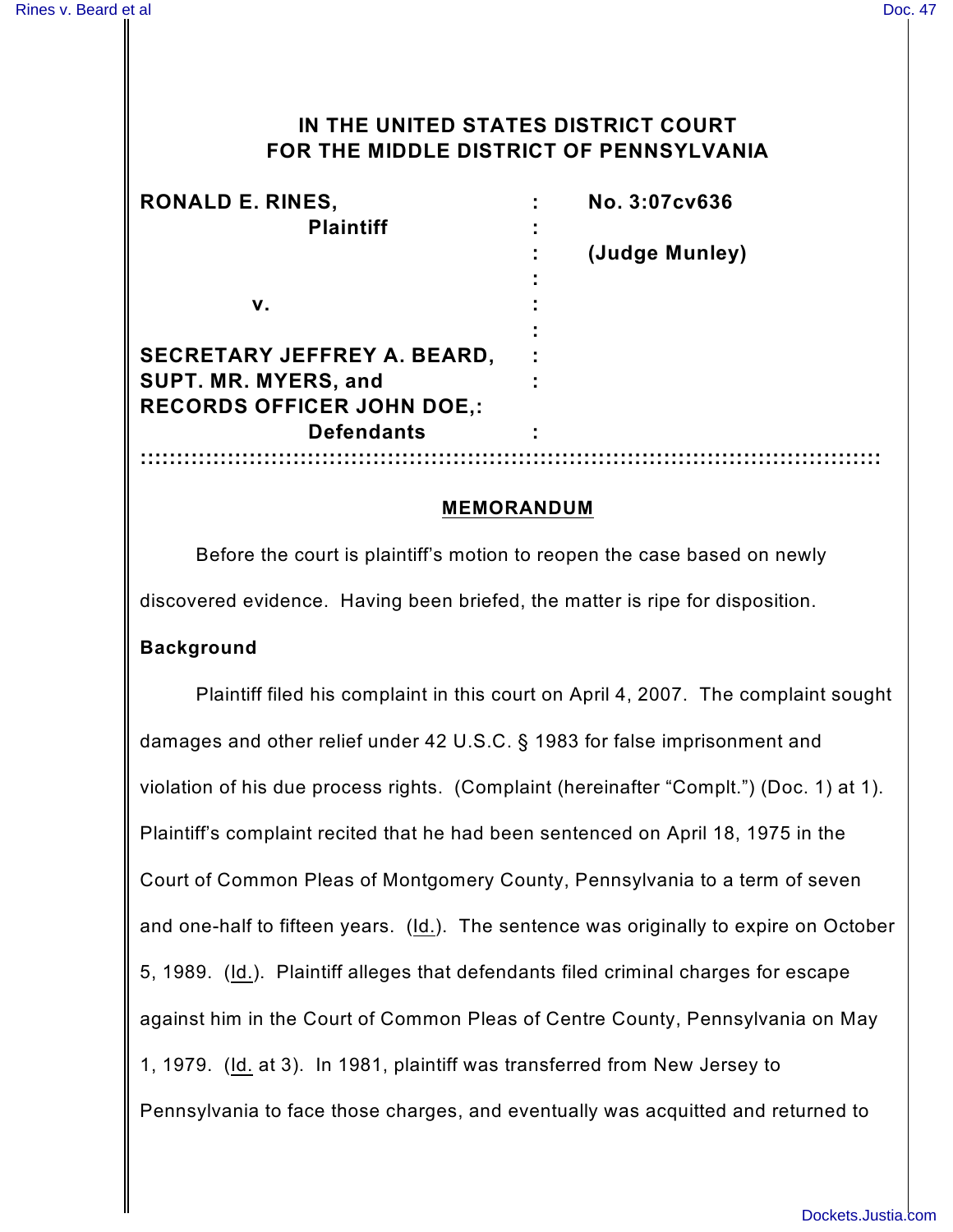# **IN THE UNITED STATES DISTRICT COURT FOR THE MIDDLE DISTRICT OF PENNSYLVANIA**

| <b>RONALD E. RINES,</b>            | No. 3:07cv636  |
|------------------------------------|----------------|
| <b>Plaintiff</b>                   |                |
|                                    | (Judge Munley) |
|                                    |                |
| v.                                 |                |
|                                    |                |
| <b>SECRETARY JEFFREY A. BEARD,</b> |                |
| SUPT. MR. MYERS, and               |                |
| <b>RECORDS OFFICER JOHN DOE,:</b>  |                |
| <b>Defendants</b>                  |                |
|                                    |                |

#### **MEMORANDUM**

Before the court is plaintiff's motion to reopen the case based on newly discovered evidence. Having been briefed, the matter is ripe for disposition.

#### **Background**

Plaintiff filed his complaint in this court on April 4, 2007. The complaint sought damages and other relief under 42 U.S.C. § 1983 for false imprisonment and violation of his due process rights. (Complaint (hereinafter "Complt.") (Doc. 1) at 1). Plaintiff's complaint recited that he had been sentenced on April 18, 1975 in the Court of Common Pleas of Montgomery County, Pennsylvania to a term of seven and one-half to fifteen years. (Id.). The sentence was originally to expire on October 5, 1989. (Id.). Plaintiff alleges that defendants filed criminal charges for escape against him in the Court of Common Pleas of Centre County, Pennsylvania on May 1, 1979. (Id. at 3). In 1981, plaintiff was transferred from New Jersey to Pennsylvania to face those charges, and eventually was acquitted and returned to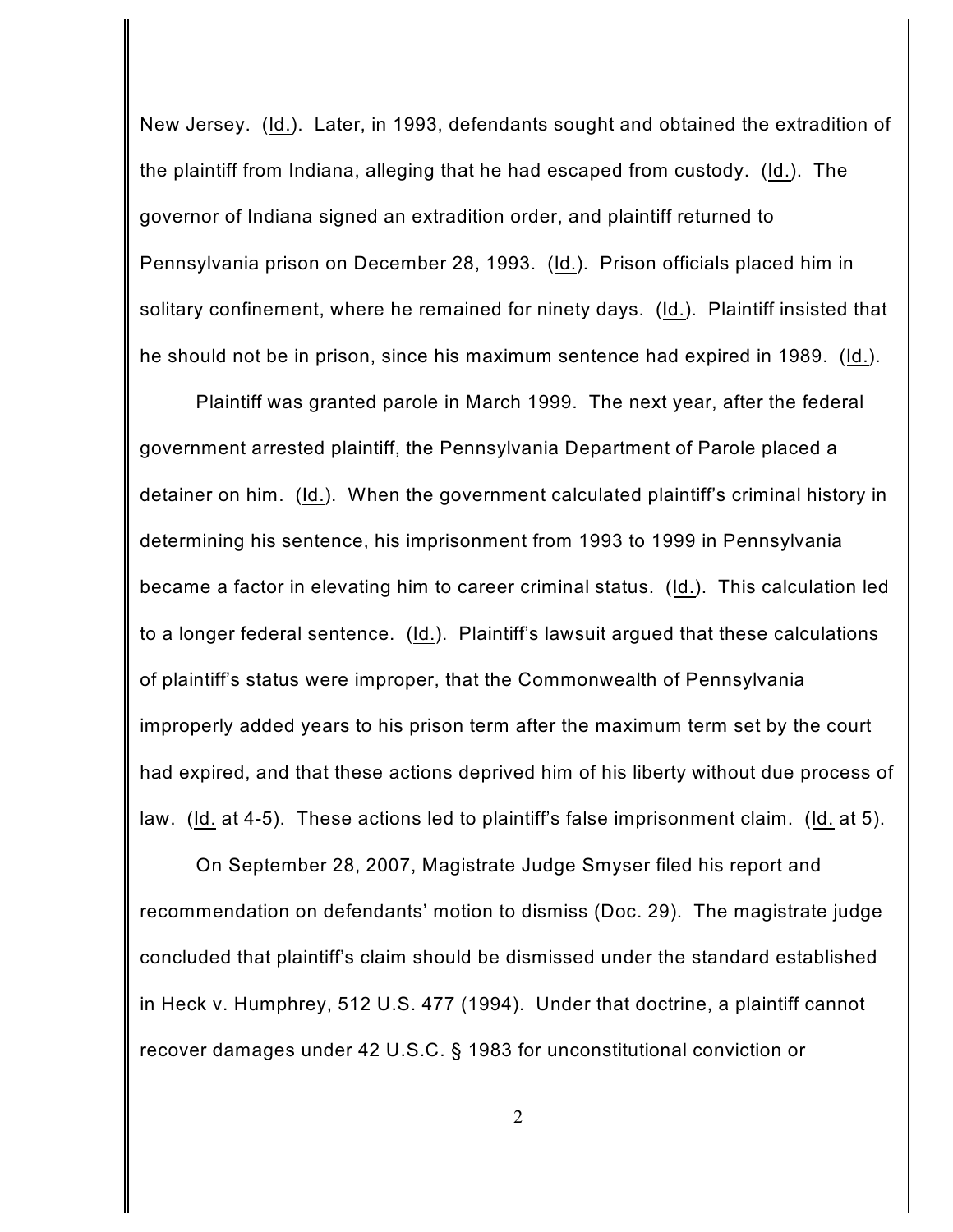New Jersey. (Id.). Later, in 1993, defendants sought and obtained the extradition of the plaintiff from Indiana, alleging that he had escaped from custody. (Id.). The governor of Indiana signed an extradition order, and plaintiff returned to Pennsylvania prison on December 28, 1993. (Id.). Prison officials placed him in solitary confinement, where he remained for ninety days. (Id.). Plaintiff insisted that he should not be in prison, since his maximum sentence had expired in 1989. (Id.).

Plaintiff was granted parole in March 1999. The next year, after the federal government arrested plaintiff, the Pennsylvania Department of Parole placed a detainer on him. (Id.). When the government calculated plaintiff's criminal history in determining his sentence, his imprisonment from 1993 to 1999 in Pennsylvania became a factor in elevating him to career criminal status. (Id.). This calculation led to a longer federal sentence. (Id.). Plaintiff's lawsuit argued that these calculations of plaintiff's status were improper, that the Commonwealth of Pennsylvania improperly added years to his prison term after the maximum term set by the court had expired, and that these actions deprived him of his liberty without due process of law. (Id. at 4-5). These actions led to plaintiff's false imprisonment claim. (Id. at 5).

On September 28, 2007, Magistrate Judge Smyser filed his report and recommendation on defendants' motion to dismiss (Doc. 29). The magistrate judge concluded that plaintiff's claim should be dismissed under the standard established in Heck v. Humphrey, 512 U.S. 477 (1994). Under that doctrine, a plaintiff cannot recover damages under 42 U.S.C. § 1983 for unconstitutional conviction or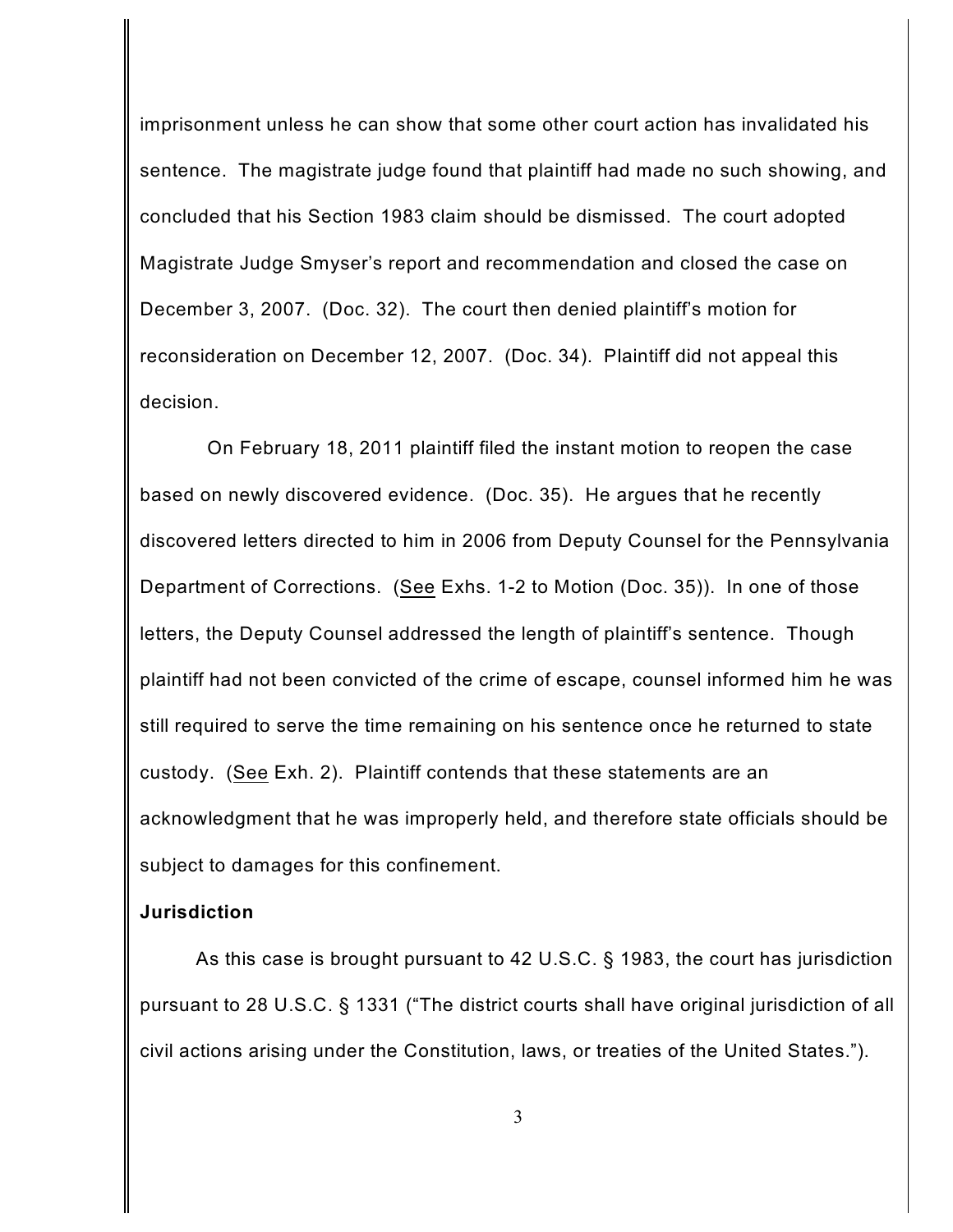imprisonment unless he can show that some other court action has invalidated his sentence. The magistrate judge found that plaintiff had made no such showing, and concluded that his Section 1983 claim should be dismissed. The court adopted Magistrate Judge Smyser's report and recommendation and closed the case on December 3, 2007. (Doc. 32). The court then denied plaintiff's motion for reconsideration on December 12, 2007. (Doc. 34). Plaintiff did not appeal this decision.

On February 18, 2011 plaintiff filed the instant motion to reopen the case based on newly discovered evidence. (Doc. 35). He argues that he recently discovered letters directed to him in 2006 from Deputy Counsel for the Pennsylvania Department of Corrections. (See Exhs. 1-2 to Motion (Doc. 35)). In one of those letters, the Deputy Counsel addressed the length of plaintiff's sentence. Though plaintiff had not been convicted of the crime of escape, counsel informed him he was still required to serve the time remaining on his sentence once he returned to state custody. (See Exh. 2). Plaintiff contends that these statements are an acknowledgment that he was improperly held, and therefore state officials should be subject to damages for this confinement.

### **Jurisdiction**

As this case is brought pursuant to 42 U.S.C. § 1983, the court has jurisdiction pursuant to 28 U.S.C. § 1331 ("The district courts shall have original jurisdiction of all civil actions arising under the Constitution, laws, or treaties of the United States.").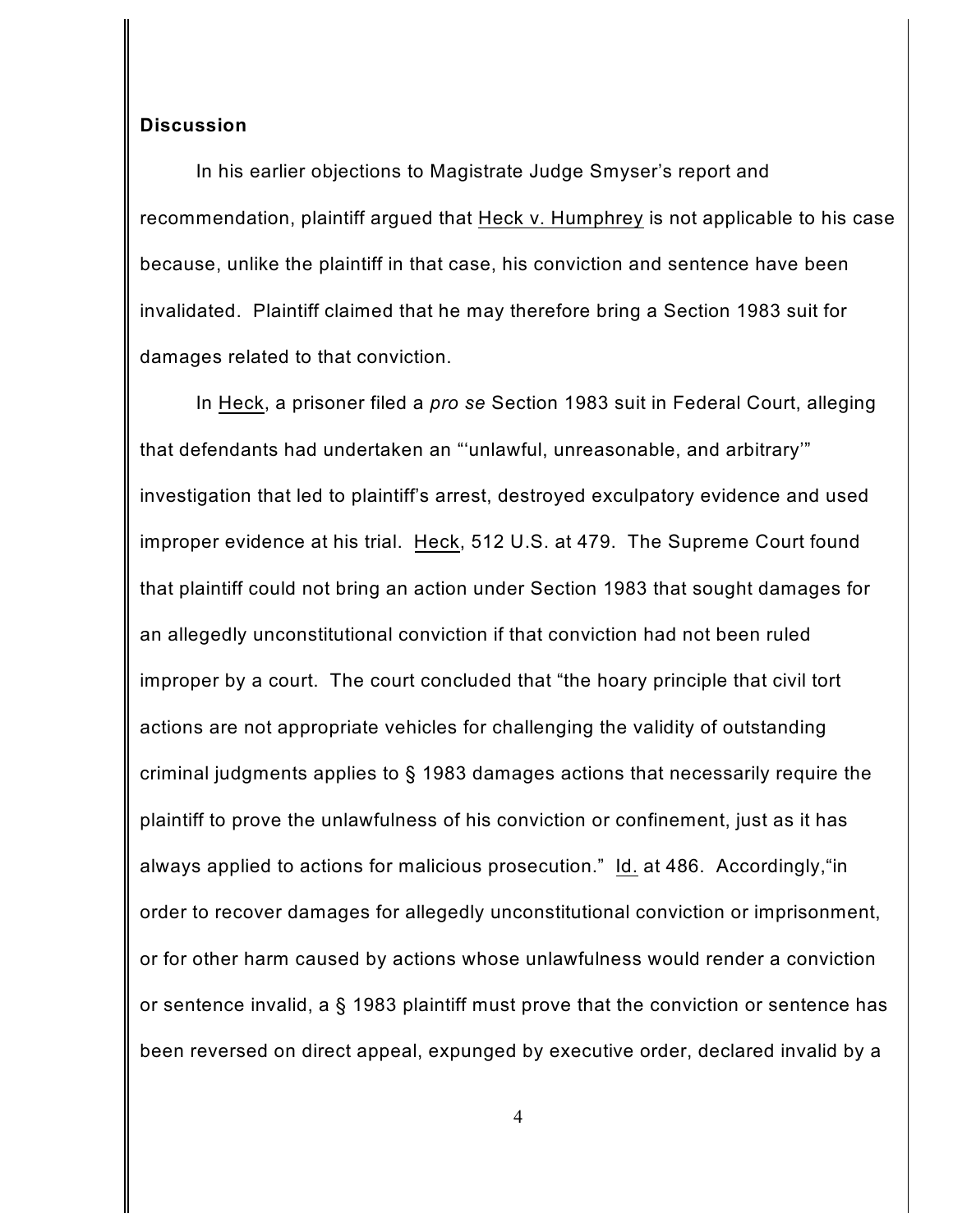### **Discussion**

In his earlier objections to Magistrate Judge Smyser's report and recommendation, plaintiff argued that Heck v. Humphrey is not applicable to his case because, unlike the plaintiff in that case, his conviction and sentence have been invalidated. Plaintiff claimed that he may therefore bring a Section 1983 suit for damages related to that conviction.

In Heck, a prisoner filed a *pro se* Section 1983 suit in Federal Court, alleging that defendants had undertaken an "'unlawful, unreasonable, and arbitrary'" investigation that led to plaintiff's arrest, destroyed exculpatory evidence and used improper evidence at his trial. Heck, 512 U.S. at 479. The Supreme Court found that plaintiff could not bring an action under Section 1983 that sought damages for an allegedly unconstitutional conviction if that conviction had not been ruled improper by a court. The court concluded that "the hoary principle that civil tort actions are not appropriate vehicles for challenging the validity of outstanding criminal judgments applies to § 1983 damages actions that necessarily require the plaintiff to prove the unlawfulness of his conviction or confinement, just as it has always applied to actions for malicious prosecution." Id. at 486. Accordingly,"in order to recover damages for allegedly unconstitutional conviction or imprisonment, or for other harm caused by actions whose unlawfulness would render a conviction or sentence invalid, a § 1983 plaintiff must prove that the conviction or sentence has been reversed on direct appeal, expunged by executive order, declared invalid by a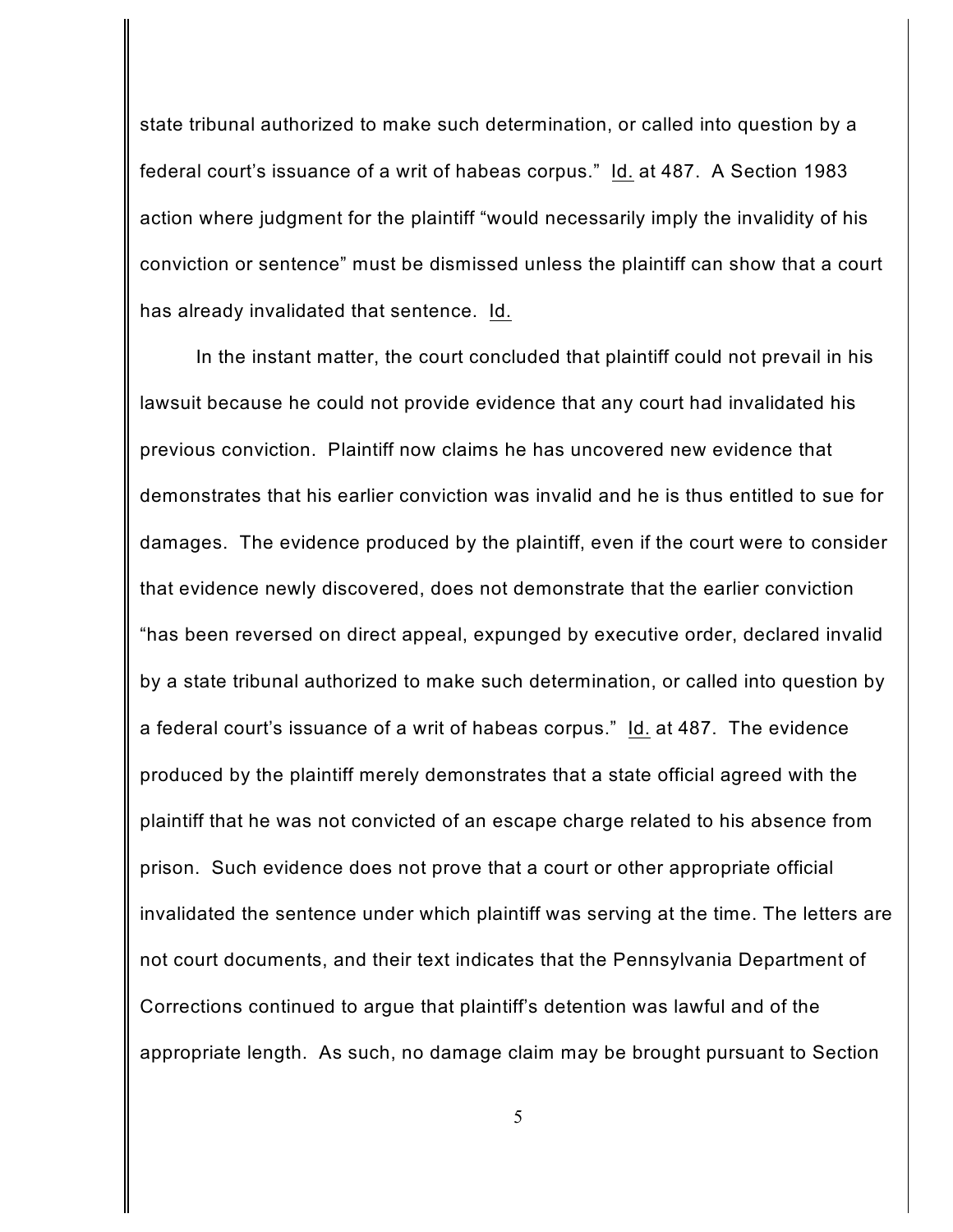state tribunal authorized to make such determination, or called into question by a federal court's issuance of a writ of habeas corpus." Id. at 487. A Section 1983 action where judgment for the plaintiff "would necessarily imply the invalidity of his conviction or sentence" must be dismissed unless the plaintiff can show that a court has already invalidated that sentence. Id.

In the instant matter, the court concluded that plaintiff could not prevail in his lawsuit because he could not provide evidence that any court had invalidated his previous conviction. Plaintiff now claims he has uncovered new evidence that demonstrates that his earlier conviction was invalid and he is thus entitled to sue for damages. The evidence produced by the plaintiff, even if the court were to consider that evidence newly discovered, does not demonstrate that the earlier conviction "has been reversed on direct appeal, expunged by executive order, declared invalid by a state tribunal authorized to make such determination, or called into question by a federal court's issuance of a writ of habeas corpus." Id. at 487. The evidence produced by the plaintiff merely demonstrates that a state official agreed with the plaintiff that he was not convicted of an escape charge related to his absence from prison. Such evidence does not prove that a court or other appropriate official invalidated the sentence under which plaintiff was serving at the time. The letters are not court documents, and their text indicates that the Pennsylvania Department of Corrections continued to argue that plaintiff's detention was lawful and of the appropriate length. As such, no damage claim may be brought pursuant to Section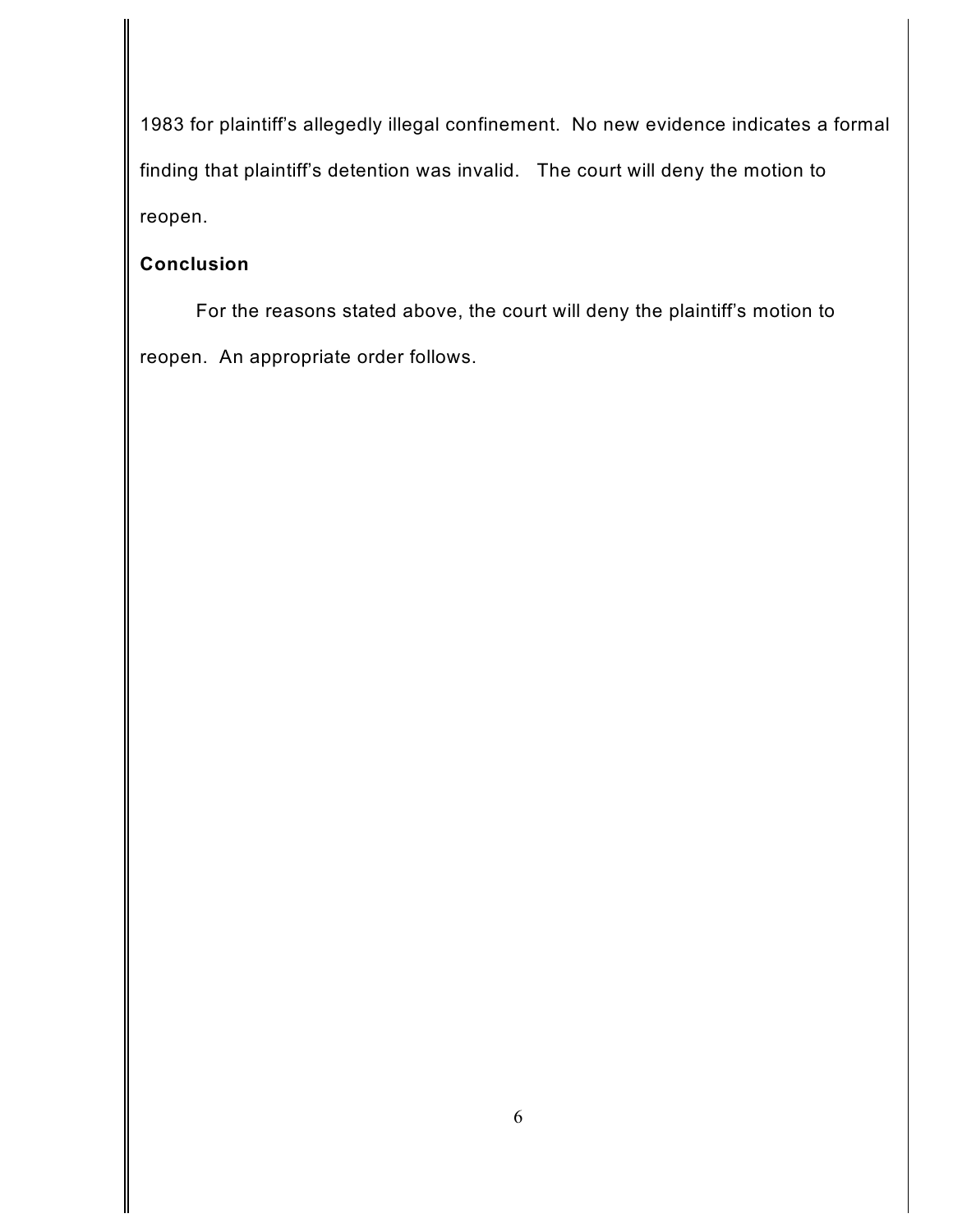1983 for plaintiff's allegedly illegal confinement. No new evidence indicates a formal finding that plaintiff's detention was invalid. The court will deny the motion to reopen.

# **Conclusion**

For the reasons stated above, the court will deny the plaintiff's motion to reopen. An appropriate order follows.